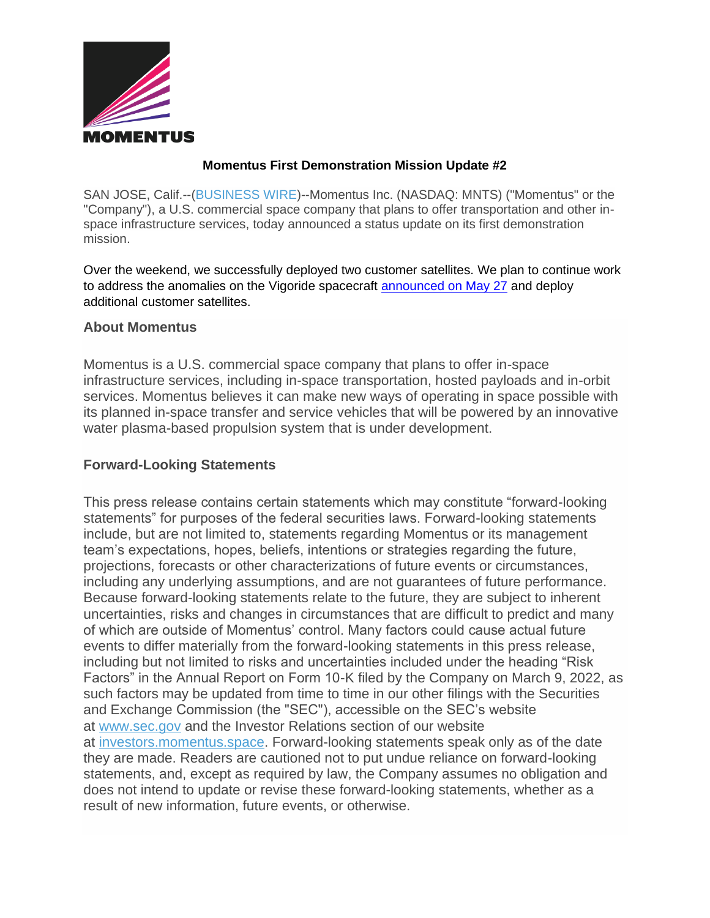

## **Momentus First Demonstration Mission Update #2**

SAN JOSE, Calif.--[\(BUSINESS WIRE\)](https://www.businesswire.com/)--Momentus Inc. (NASDAQ: MNTS) ("Momentus" or the "Company"), a U.S. commercial space company that plans to offer transportation and other inspace infrastructure services, today announced a status update on its first demonstration mission.

Over the weekend, we successfully deployed two customer satellites. We plan to continue work to address the anomalies on the Vigoride spacecraft [announced on May 27](https://www.businesswire.com/news/home/20220527005407/en/Momentus-First-Demonstration-Mission-Update-1) and deploy additional customer satellites.

## **About Momentus**

Momentus is a U.S. commercial space company that plans to offer in-space infrastructure services, including in-space transportation, hosted payloads and in-orbit services. Momentus believes it can make new ways of operating in space possible with its planned in-space transfer and service vehicles that will be powered by an innovative water plasma-based propulsion system that is under development.

## **Forward-Looking Statements**

This press release contains certain statements which may constitute "forward-looking statements" for purposes of the federal securities laws. Forward-looking statements include, but are not limited to, statements regarding Momentus or its management team's expectations, hopes, beliefs, intentions or strategies regarding the future, projections, forecasts or other characterizations of future events or circumstances, including any underlying assumptions, and are not guarantees of future performance. Because forward-looking statements relate to the future, they are subject to inherent uncertainties, risks and changes in circumstances that are difficult to predict and many of which are outside of Momentus' control. Many factors could cause actual future events to differ materially from the forward-looking statements in this press release, including but not limited to risks and uncertainties included under the heading "Risk Factors" in the Annual Report on Form 10-K filed by the Company on March 9, 2022, as such factors may be updated from time to time in our other filings with the Securities and Exchange Commission (the "SEC"), accessible on the SEC's website at [www.sec.gov](https://cts.businesswire.com/ct/CT?id=smartlink&url=http%3A%2F%2Fwww.sec.gov&esheet=52731288&newsitemid=20220525005971&lan=en-US&anchor=www.sec.gov&index=1&md5=dfb1911db0fc090180c9ab6f05de8ca1) and the Investor Relations section of our website at [investors.momentus.space.](https://cts.businesswire.com/ct/CT?id=smartlink&url=http%3A%2F%2Finvestors.momentus.space&esheet=52731288&newsitemid=20220525005971&lan=en-US&anchor=investors.momentus.space&index=2&md5=40763d86fcc4ec90abdfb38288ad4c4e) Forward-looking statements speak only as of the date they are made. Readers are cautioned not to put undue reliance on forward-looking statements, and, except as required by law, the Company assumes no obligation and does not intend to update or revise these forward-looking statements, whether as a result of new information, future events, or otherwise.